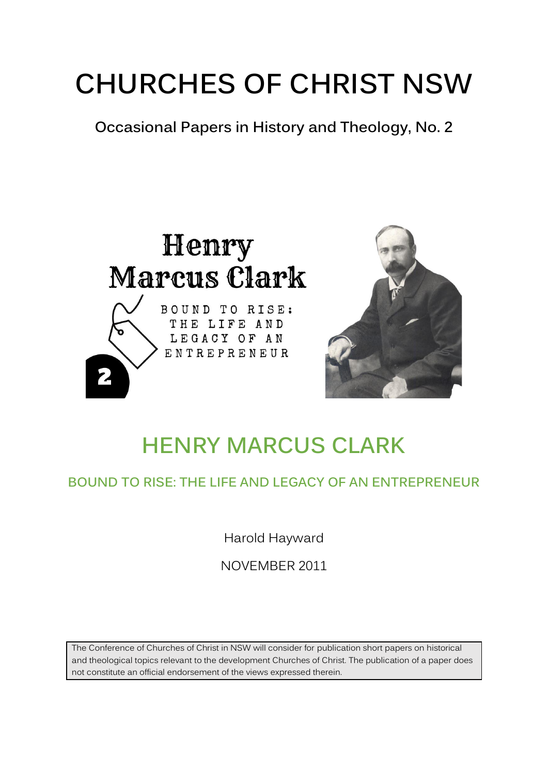# **CHURCHES OF CHRIST NSW**

**Occasional Papers in History and Theology, No. 2**





## **HENRY MARCUS CLARK**

## **BOUND TO RISE: THE LIFE AND LEGACY OF AN ENTREPRENEUR**

Harold Hayward

NOVEMBER 2011

The Conference of Churches of Christ in NSW will consider for publication short papers on historical and theological topics relevant to the development Churches of Christ. The publication of a paper does not constitute an official endorsement of the views expressed therein.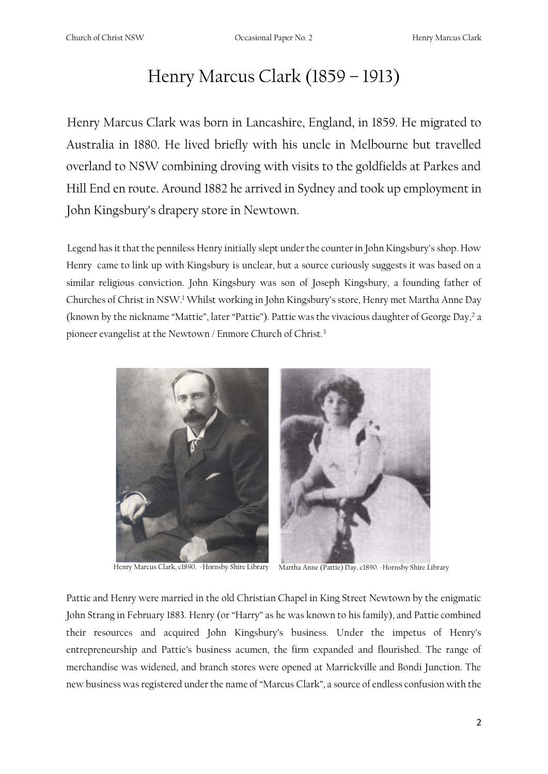## Henry Marcus Clark (1859 – 1913)

Henry Marcus Clark was born in Lancashire, England, in 1859. He migrated to Australia in 1880. He lived briefly with his uncle in Melbourne but travelled overland to NSW combining droving with visits to the goldfields at Parkes and Hill End en route. Around 1882 he arrived in Sydney and took up employment in John Kingsbury's drapery store in Newtown.

Legend has it that the penniless Henry initially slept under the counter in John Kingsbury's shop. How Henry came to link up with Kingsbury is unclear, but a source curiously suggests it was based on a similar religious conviction. John Kingsbury was son of Joseph Kingsbury, a founding father of Churches of Christ in NSW.<sup>1</sup> Whilst working in John Kingsbury's store, Henry met Martha Anne Day (known by the nickname "Mattie", later "Pattie"). Pattie was the vivacious daughter of George Day,<sup>2</sup> a pioneer evangelist at the Newtown / Enmore Church of Christ.<sup>3</sup>



Henry Marcus Clark, c1890. -Hornsby Shire Library Martha Anne (Pattie) Day, c1890. -Hornsby Shire Library

Pattie and Henry were married in the old Christian Chapel in King Street Newtown by the enigmatic John Strang in February 1883. Henry (or "Harry" as he was known to his family), and Pattie combined their resources and acquired John Kingsbury's business. Under the impetus of Henry's entrepreneurship and Pattie's business acumen, the firm expanded and flourished. The range of merchandise was widened, and branch stores were opened at Marrickville and Bondi Junction. The new business was registered under the name of "Marcus Clark", a source of endless confusion with the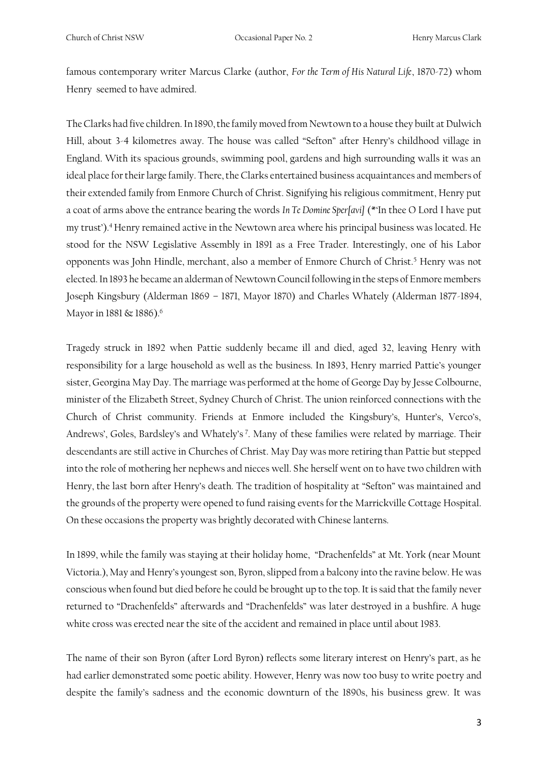famous contemporary writer Marcus Clarke (author, *For the Term of His Natural Life*, 1870-72) whom Henry seemed to have admired.

The Clarks had five children. In 1890, the family moved from Newtown to a house they built at Dulwich Hill, about 3-4 kilometres away. The house was called "Sefton" after Henry's childhood village in England. With its spacious grounds, swimming pool, gardens and high surrounding walls it was an ideal place for their large family. There, the Clarks entertained business acquaintances and members of their extended family from Enmore Church of Christ. Signifying his religious commitment, Henry put a coat of arms above the entrance bearing the words *In Te Domine Sper[avi]* (\*'In thee O Lord I have put my trust').<sup>4</sup> Henry remained active in the Newtown area where his principal business was located. He stood for the NSW Legislative Assembly in 1891 as a Free Trader. Interestingly, one of his Labor opponents was John Hindle, merchant, also a member of Enmore Church of Christ.<sup>5</sup> Henry was not elected. In 1893 he became an alderman of Newtown Council following in the steps of Enmore members Joseph Kingsbury (Alderman 1869 – 1871, Mayor 1870) and Charles Whately (Alderman 1877-1894, Mayor in 1881 & 1886).<sup>6</sup>

Tragedy struck in 1892 when Pattie suddenly became ill and died, aged 32, leaving Henry with responsibility for a large household as well as the business. In 1893, Henry married Pattie's younger sister, Georgina May Day. The marriage was performed at the home of George Day by Jesse Colbourne, minister of the Elizabeth Street, Sydney Church of Christ. The union reinforced connections with the Church of Christ community. Friends at Enmore included the Kingsbury's, Hunter's, Verco's, Andrews', Goles, Bardsley's and Whately's <sup>7</sup> . Many of these families were related by marriage. Their descendants are still active in Churches of Christ. May Day was more retiring than Pattie but stepped into the role of mothering her nephews and nieces well. She herself went on to have two children with Henry, the last born after Henry's death. The tradition of hospitality at "Sefton" was maintained and the grounds of the property were opened to fund raising events for the Marrickville Cottage Hospital. On these occasions the property was brightly decorated with Chinese lanterns.

In 1899, while the family was staying at their holiday home, "Drachenfelds" at Mt. York (near Mount Victoria.), May and Henry's youngest son, Byron, slipped from a balcony into the ravine below. He was conscious when found but died before he could be brought up to the top. It is said that the family never returned to "Drachenfelds" afterwards and "Drachenfelds" was later destroyed in a bushfire. A huge white cross was erected near the site of the accident and remained in place until about 1983.

The name of their son Byron (after Lord Byron) reflects some literary interest on Henry's part, as he had earlier demonstrated some poetic ability. However, Henry was now too busy to write poetry and despite the family's sadness and the economic downturn of the 1890s, his business grew. It was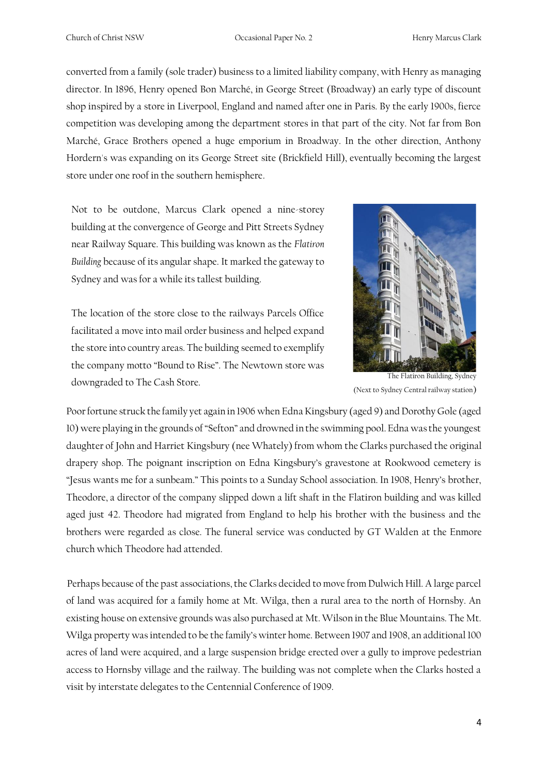converted from a family (sole trader) business to a limited liability company, with Henry as managing director. In 1896, Henry opened Bon Marché, in George Street (Broadway) an early type of discount shop inspired by a store in Liverpool, England and named after one in Paris. By the early 1900s, fierce competition was developing among the department stores in that part of the city. Not far from Bon Marché, Grace Brothers opened a huge emporium in Broadway. In the other direction, Anthony Hordern's was expanding on its George Street site (Brickfield Hill), eventually becoming the largest store under one roof in the southern hemisphere.

Not to be outdone, Marcus Clark opened a nine-storey building at the convergence of George and Pitt Streets Sydney near Railway Square. This building was known as the *Flatiron Building* because of its angular shape. It marked the gateway to Sydney and was for a while its tallest building.

The location of the store close to the railways Parcels Office facilitated a move into mail order business and helped expand the store into country areas. The building seemed to exemplify the company motto "Bound to Rise". The Newtown store was downgraded to The Cash Store. The Flatiron Building, Sydney



(Next to Sydney Central railway station)

Poor fortune struck the family yet again in 1906 when Edna Kingsbury (aged 9) and Dorothy Gole (aged 10) were playing in the grounds of "Sefton" and drowned in the swimming pool. Edna was the youngest daughter of John and Harriet Kingsbury (nee Whately) from whom the Clarks purchased the original drapery shop. The poignant inscription on Edna Kingsbury's gravestone at Rookwood cemetery is "Jesus wants me for a sunbeam." This points to a Sunday School association. In 1908, Henry's brother, Theodore, a director of the company slipped down a lift shaft in the Flatiron building and was killed aged just 42. Theodore had migrated from England to help his brother with the business and the brothers were regarded as close. The funeral service was conducted by GT Walden at the Enmore church which Theodore had attended.

Perhaps because of the past associations, the Clarks decided to move from Dulwich Hill. A large parcel of land was acquired for a family home at Mt. Wilga, then a rural area to the north of Hornsby. An existing house on extensive grounds was also purchased at Mt. Wilson in the Blue Mountains. The Mt. Wilga property was intended to be the family's winter home. Between 1907 and 1908, an additional 100 acres of land were acquired, and a large suspension bridge erected over a gully to improve pedestrian access to Hornsby village and the railway. The building was not complete when the Clarks hosted a visit by interstate delegates to the Centennial Conference of 1909.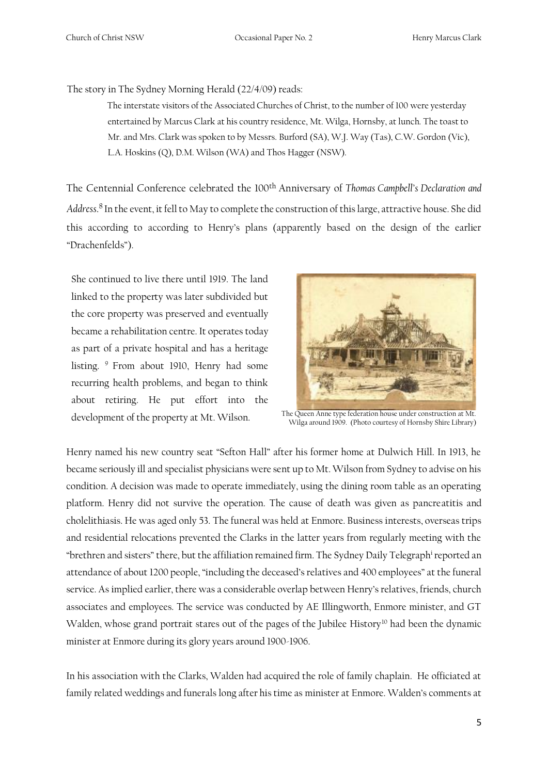The story in The Sydney Morning Herald (22/4/09) reads:

The interstate visitors of the Associated Churches of Christ, to the number of 100 were yesterday entertained by Marcus Clark at his country residence, Mt. Wilga, Hornsby, at lunch. The toast to Mr. and Mrs. Clark was spoken to by Messrs. Burford (SA), W.J. Way (Tas), C.W. Gordon (Vic), L.A. Hoskins (Q), D.M. Wilson (WA) and Thos Hagger (NSW).

The Centennial Conference celebrated the 100th Anniversary of *Thomas Campbell's Declaration and Address*. <sup>8</sup>In the event, it fell to May to complete the construction of this large, attractive house. She did this according to according to Henry's plans (apparently based on the design of the earlier "Drachenfelds").

She continued to live there until 1919. The land linked to the property was later subdivided but the core property was preserved and eventually became a rehabilitation centre. It operates today as part of a private hospital and has a heritage listing. <sup>9</sup> From about 1910, Henry had some recurring health problems, and began to think about retiring. He put effort into the development of the property at Mt. Wilson. The Queen Anne type federation house under construction at Mt.



Wilga around 1909. (Photo courtesy of Hornsby Shire Library)

Henry named his new country seat "Sefton Hall" after his former home at Dulwich Hill. In 1913, he became seriously ill and specialist physicians were sent up to Mt. Wilson from Sydney to advise on his condition. A decision was made to operate immediately, using the dining room table as an operating platform. Henry did not survive the operation. The cause of death was given as pancreatitis and cholelithiasis. He was aged only 53. The funeral was held at Enmore. Business interests, overseas trips and residential relocations prevented the Clarks in the latter years from regularly meeting with the "brethren and sisters" there, but the affiliation remained firm. The Sydney Daily Telegraph<sup>i</sup> reported an attendance of about 1200 people, "including the deceased's relatives and 400 employees" at the funeral service. As implied earlier, there was a considerable overlap between Henry's relatives, friends, church associates and employees. The service was conducted by AE Illingworth, Enmore minister, and GT Walden, whose grand portrait stares out of the pages of the Jubilee History<sup>10</sup> had been the dynamic minister at Enmore during its glory years around 1900-1906.

In his association with the Clarks, Walden had acquired the role of family chaplain. He officiated at family related weddings and funerals long after his time as minister at Enmore. Walden's comments at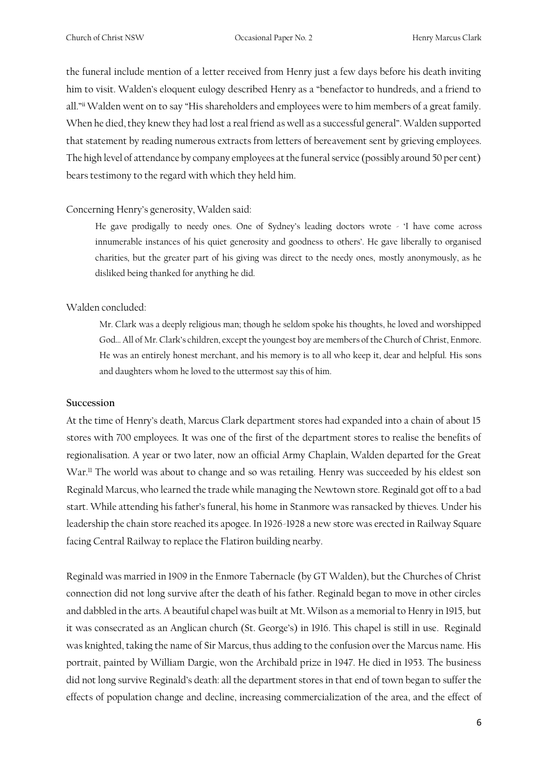the funeral include mention of a letter received from Henry just a few days before his death inviting him to visit. Walden's eloquent eulogy described Henry as a "benefactor to hundreds, and a friend to all."ii Walden went on to say "His shareholders and employees were to him members of a great family. When he died, they knew they had lost a real friend as well as a successful general". Walden supported that statement by reading numerous extracts from letters of bereavement sent by grieving employees. The high level of attendance by company employees at the funeral service (possibly around 50 per cent) bears testimony to the regard with which they held him.

#### Concerning Henry's generosity, Walden said:

He gave prodigally to needy ones. One of Sydney's leading doctors wrote - 'I have come across innumerable instances of his quiet generosity and goodness to others'. He gave liberally to organised charities, but the greater part of his giving was direct to the needy ones, mostly anonymously, as he disliked being thanked for anything he did.

#### Walden concluded:

Mr. Clark was a deeply religious man; though he seldom spoke his thoughts, he loved and worshipped God… All of Mr. Clark's children, except the youngest boy are members of the Church of Christ, Enmore. He was an entirely honest merchant, and his memory is to all who keep it, dear and helpful. His sons and daughters whom he loved to the uttermost say this of him.

#### **Succession**

At the time of Henry's death, Marcus Clark department stores had expanded into a chain of about 15 stores with 700 employees. It was one of the first of the department stores to realise the benefits of regionalisation. A year or two later, now an official Army Chaplain, Walden departed for the Great War.<sup>11</sup> The world was about to change and so was retailing. Henry was succeeded by his eldest son Reginald Marcus, who learned the trade while managing the Newtown store. Reginald got off to a bad start. While attending his father's funeral, his home in Stanmore was ransacked by thieves. Under his leadership the chain store reached its apogee. In 1926-1928 a new store was erected in Railway Square facing Central Railway to replace the Flatiron building nearby.

Reginald was married in 1909 in the Enmore Tabernacle (by GT Walden), but the Churches of Christ connection did not long survive after the death of his father. Reginald began to move in other circles and dabbled in the arts. A beautiful chapel was built at Mt. Wilson as a memorial to Henry in 1915, but it was consecrated as an Anglican church (St. George's) in 1916. This chapel is still in use. Reginald was knighted, taking the name of Sir Marcus, thus adding to the confusion over the Marcus name. His portrait, painted by William Dargie, won the Archibald prize in 1947. He died in 1953. The business did not long survive Reginald's death: all the department stores in that end of town began to suffer the effects of population change and decline, increasing commercialization of the area, and the effect of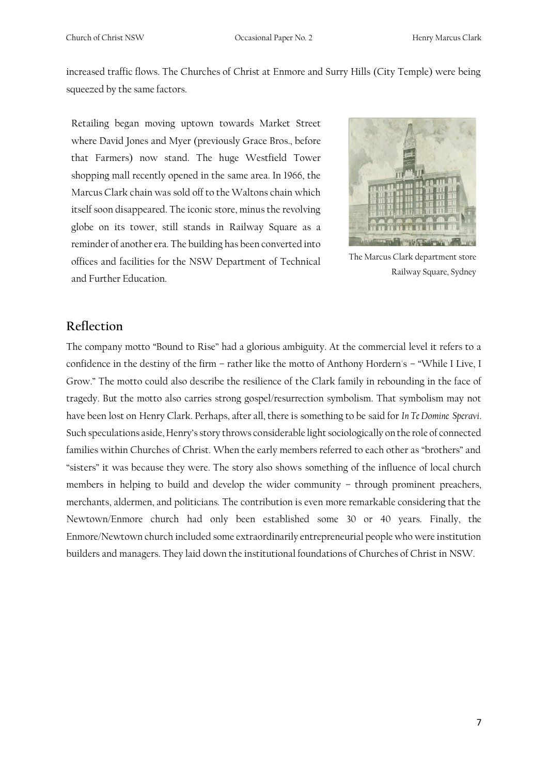increased traffic flows. The Churches of Christ at Enmore and Surry Hills (City Temple) were being squeezed by the same factors.

Retailing began moving uptown towards Market Street where David Jones and Myer (previously Grace Bros., before that Farmers) now stand. The huge Westfield Tower shopping mall recently opened in the same area. In 1966, the Marcus Clark chain was sold off to the Waltons chain which itself soon disappeared. The iconic store, minus the revolving globe on its tower, still stands in Railway Square as a reminder of another era. The building has been converted into offices and facilities for the NSW Department of Technical and Further Education.



The Marcus Clark department store Railway Square, Sydney

#### **Reflection**

The company motto "Bound to Rise" had a glorious ambiguity. At the commercial level it refers to a confidence in the destiny of the firm – rather like the motto of Anthony Hordern's – "While I Live, I Grow." The motto could also describe the resilience of the Clark family in rebounding in the face of tragedy. But the motto also carries strong gospel/resurrection symbolism. That symbolism may not have been lost on Henry Clark. Perhaps, after all, there is something to be said for *In Te Domine Speravi*. Such speculations aside, Henry's story throws considerable light sociologically on the role of connected families within Churches of Christ. When the early members referred to each other as "brothers" and "sisters" it was because they were. The story also shows something of the influence of local church members in helping to build and develop the wider community – through prominent preachers, merchants, aldermen, and politicians. The contribution is even more remarkable considering that the Newtown/Enmore church had only been established some 30 or 40 years. Finally, the Enmore/Newtown church included some extraordinarily entrepreneurial people who were institution builders and managers. They laid down the institutional foundations of Churches of Christ in NSW.